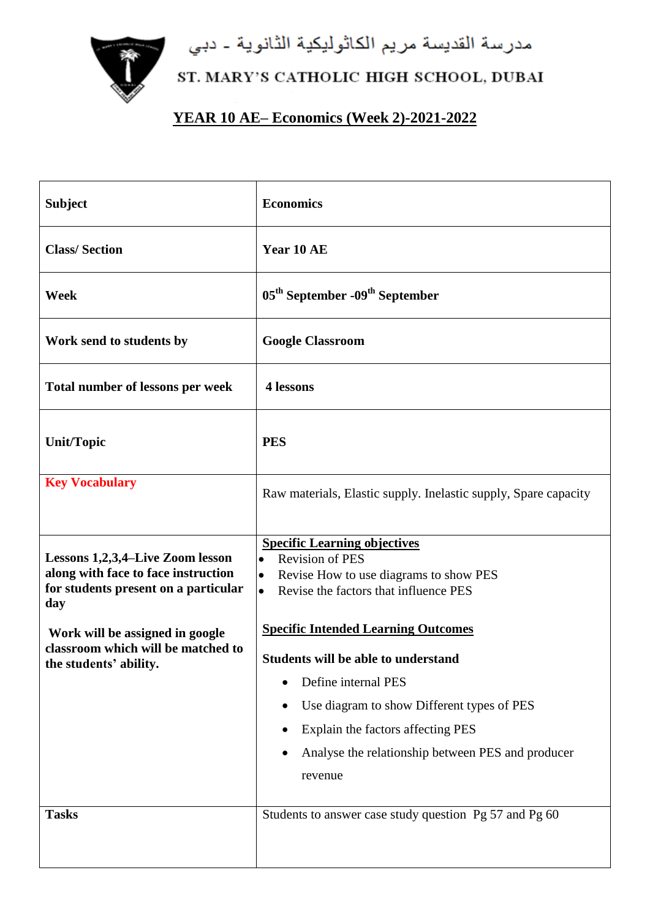مدرسة القديسة مريم الكاثوليكية الثانوية ـ دبي



## ST. MARY'S CATHOLIC HIGH SCHOOL, DUBAI

## **YEAR 10 AE– Economics (Week 2)-2021-2022**

| <b>Subject</b>                                                                                                                                                                                                            | <b>Economics</b>                                                                                                                                                                                                                                                                                                                                                                                                                                              |
|---------------------------------------------------------------------------------------------------------------------------------------------------------------------------------------------------------------------------|---------------------------------------------------------------------------------------------------------------------------------------------------------------------------------------------------------------------------------------------------------------------------------------------------------------------------------------------------------------------------------------------------------------------------------------------------------------|
| <b>Class/Section</b>                                                                                                                                                                                                      | Year 10 AE                                                                                                                                                                                                                                                                                                                                                                                                                                                    |
| <b>Week</b>                                                                                                                                                                                                               | 05 <sup>th</sup> September -09 <sup>th</sup> September                                                                                                                                                                                                                                                                                                                                                                                                        |
| Work send to students by                                                                                                                                                                                                  | <b>Google Classroom</b>                                                                                                                                                                                                                                                                                                                                                                                                                                       |
| Total number of lessons per week                                                                                                                                                                                          | 4 lessons                                                                                                                                                                                                                                                                                                                                                                                                                                                     |
| <b>Unit/Topic</b>                                                                                                                                                                                                         | <b>PES</b>                                                                                                                                                                                                                                                                                                                                                                                                                                                    |
| <b>Key Vocabulary</b>                                                                                                                                                                                                     | Raw materials, Elastic supply. Inelastic supply, Spare capacity                                                                                                                                                                                                                                                                                                                                                                                               |
| Lessons 1,2,3,4-Live Zoom lesson<br>along with face to face instruction<br>for students present on a particular<br>day<br>Work will be assigned in google<br>classroom which will be matched to<br>the students' ability. | <b>Specific Learning objectives</b><br><b>Revision of PES</b><br>$\bullet$<br>Revise How to use diagrams to show PES<br>$\bullet$<br>Revise the factors that influence PES<br>$\bullet$<br><b>Specific Intended Learning Outcomes</b><br><b>Students will be able to understand</b><br>Define internal PES<br>Use diagram to show Different types of PES<br>Explain the factors affecting PES<br>Analyse the relationship between PES and producer<br>revenue |
| <b>Tasks</b>                                                                                                                                                                                                              | Students to answer case study question Pg 57 and Pg 60                                                                                                                                                                                                                                                                                                                                                                                                        |